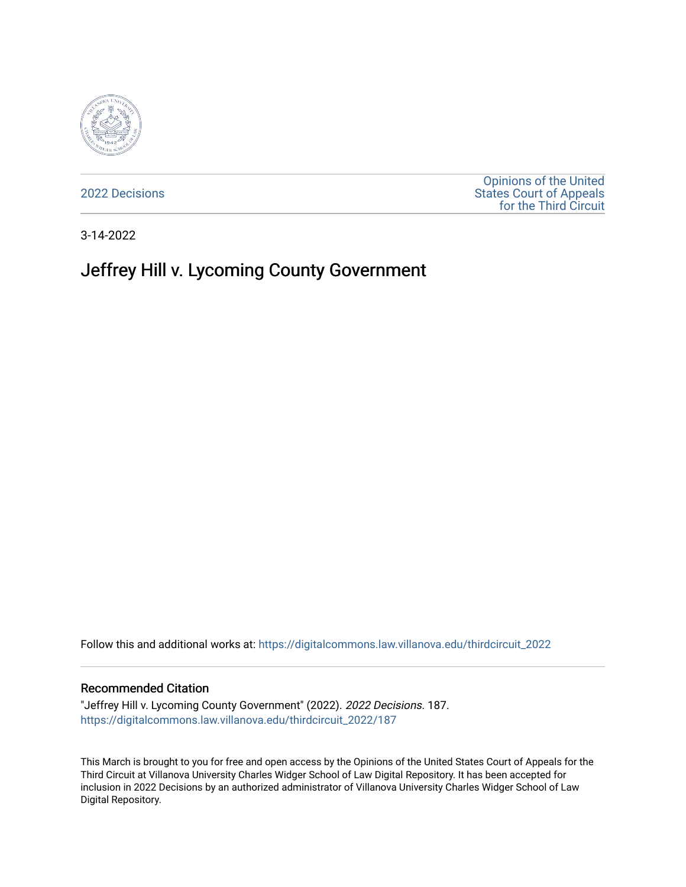

[2022 Decisions](https://digitalcommons.law.villanova.edu/thirdcircuit_2022)

[Opinions of the United](https://digitalcommons.law.villanova.edu/thirdcircuit)  [States Court of Appeals](https://digitalcommons.law.villanova.edu/thirdcircuit)  [for the Third Circuit](https://digitalcommons.law.villanova.edu/thirdcircuit) 

3-14-2022

# Jeffrey Hill v. Lycoming County Government

Follow this and additional works at: [https://digitalcommons.law.villanova.edu/thirdcircuit\\_2022](https://digitalcommons.law.villanova.edu/thirdcircuit_2022?utm_source=digitalcommons.law.villanova.edu%2Fthirdcircuit_2022%2F187&utm_medium=PDF&utm_campaign=PDFCoverPages) 

#### Recommended Citation

"Jeffrey Hill v. Lycoming County Government" (2022). 2022 Decisions. 187. [https://digitalcommons.law.villanova.edu/thirdcircuit\\_2022/187](https://digitalcommons.law.villanova.edu/thirdcircuit_2022/187?utm_source=digitalcommons.law.villanova.edu%2Fthirdcircuit_2022%2F187&utm_medium=PDF&utm_campaign=PDFCoverPages)

This March is brought to you for free and open access by the Opinions of the United States Court of Appeals for the Third Circuit at Villanova University Charles Widger School of Law Digital Repository. It has been accepted for inclusion in 2022 Decisions by an authorized administrator of Villanova University Charles Widger School of Law Digital Repository.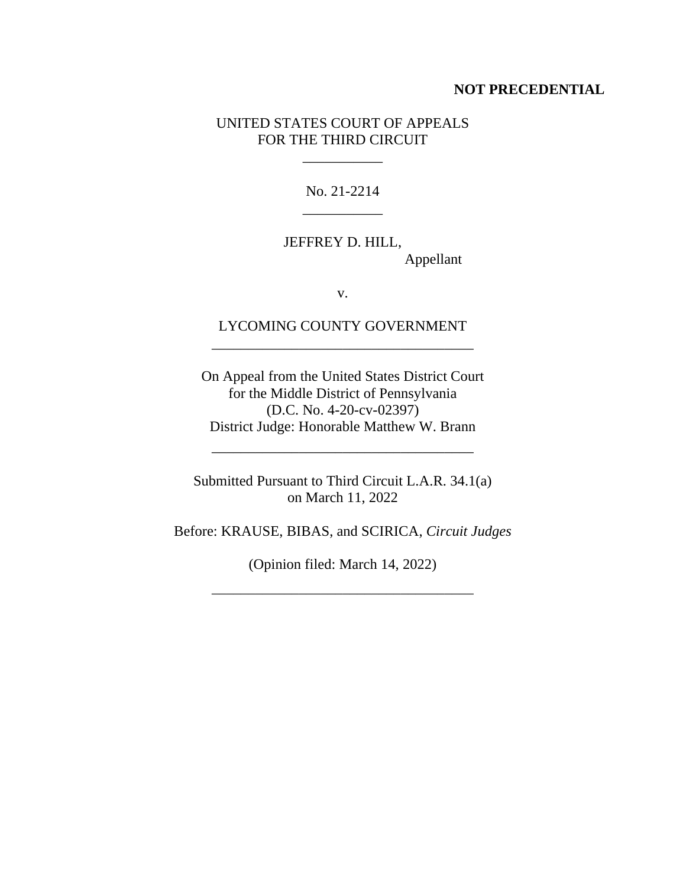## **NOT PRECEDENTIAL**

# UNITED STATES COURT OF APPEALS FOR THE THIRD CIRCUIT

 $\mathcal{L}_\text{max}$  and  $\mathcal{L}_\text{max}$ 

No. 21-2214 \_\_\_\_\_\_\_\_\_\_\_

JEFFREY D. HILL, Appellant

v.

LYCOMING COUNTY GOVERNMENT \_\_\_\_\_\_\_\_\_\_\_\_\_\_\_\_\_\_\_\_\_\_\_\_\_\_\_\_\_\_\_\_\_\_\_\_

On Appeal from the United States District Court for the Middle District of Pennsylvania (D.C. No. 4-20-cv-02397) District Judge: Honorable Matthew W. Brann

Submitted Pursuant to Third Circuit L.A.R. 34.1(a) on March 11, 2022

\_\_\_\_\_\_\_\_\_\_\_\_\_\_\_\_\_\_\_\_\_\_\_\_\_\_\_\_\_\_\_\_\_\_\_\_

Before: KRAUSE, BIBAS, and SCIRICA, *Circuit Judges*

(Opinion filed: March 14, 2022)

\_\_\_\_\_\_\_\_\_\_\_\_\_\_\_\_\_\_\_\_\_\_\_\_\_\_\_\_\_\_\_\_\_\_\_\_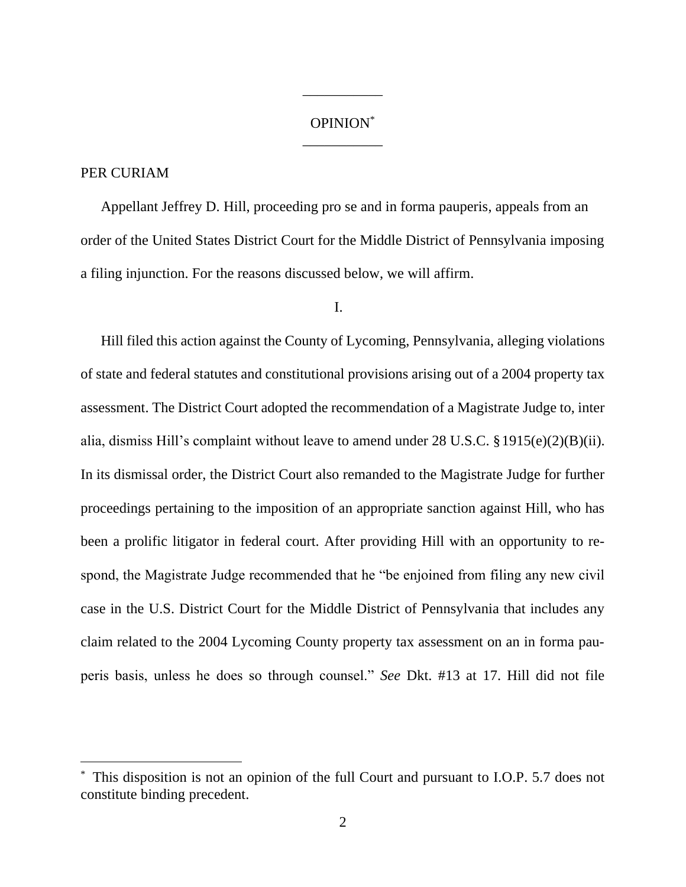# OPINION\* \_\_\_\_\_\_\_\_\_\_\_

\_\_\_\_\_\_\_\_\_\_\_

# PER CURIAM

Appellant Jeffrey D. Hill, proceeding pro se and in forma pauperis, appeals from an order of the United States District Court for the Middle District of Pennsylvania imposing a filing injunction. For the reasons discussed below, we will affirm.

### I.

Hill filed this action against the County of Lycoming, Pennsylvania, alleging violations of state and federal statutes and constitutional provisions arising out of a 2004 property tax assessment. The District Court adopted the recommendation of a Magistrate Judge to, inter alia, dismiss Hill's complaint without leave to amend under 28 U.S.C. §1915(e)(2)(B)(ii). In its dismissal order, the District Court also remanded to the Magistrate Judge for further proceedings pertaining to the imposition of an appropriate sanction against Hill, who has been a prolific litigator in federal court. After providing Hill with an opportunity to respond, the Magistrate Judge recommended that he "be enjoined from filing any new civil case in the U.S. District Court for the Middle District of Pennsylvania that includes any claim related to the 2004 Lycoming County property tax assessment on an in forma pauperis basis, unless he does so through counsel." *See* Dkt. #13 at 17. Hill did not file

This disposition is not an opinion of the full Court and pursuant to I.O.P. 5.7 does not constitute binding precedent.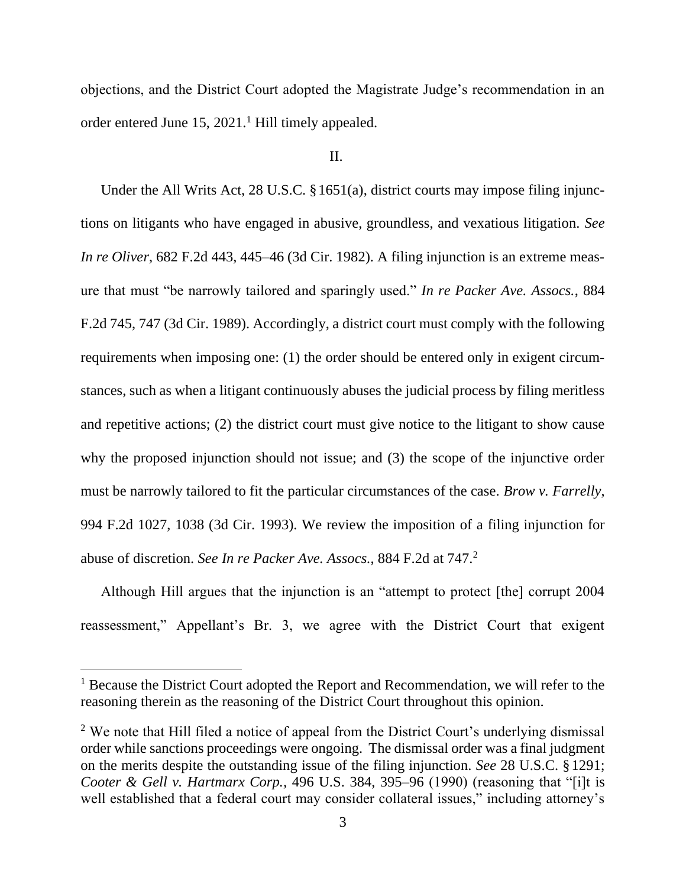objections, and the District Court adopted the Magistrate Judge's recommendation in an order entered June  $15$ ,  $2021<sup>1</sup>$  Hill timely appealed.

# II.

Under the All Writs Act, 28 U.S.C. §1651(a), district courts may impose filing injunctions on litigants who have engaged in abusive, groundless, and vexatious litigation. *See In re Oliver*, 682 F.2d 443, 445–46 (3d Cir. 1982). A filing injunction is an extreme measure that must "be narrowly tailored and sparingly used." *In re Packer Ave. Assocs.*, 884 F.2d 745, 747 (3d Cir. 1989). Accordingly, a district court must comply with the following requirements when imposing one: (1) the order should be entered only in exigent circumstances, such as when a litigant continuously abuses the judicial process by filing meritless and repetitive actions; (2) the district court must give notice to the litigant to show cause why the proposed injunction should not issue; and (3) the scope of the injunctive order must be narrowly tailored to fit the particular circumstances of the case. *Brow v. Farrelly*, 994 F.2d 1027, 1038 (3d Cir. 1993). We review the imposition of a filing injunction for abuse of discretion. *See In re Packer Ave. Assocs.*, 884 F.2d at 747.<sup>2</sup>

Although Hill argues that the injunction is an "attempt to protect [the] corrupt 2004 reassessment," Appellant's Br. 3, we agree with the District Court that exigent

<sup>&</sup>lt;sup>1</sup> Because the District Court adopted the Report and Recommendation, we will refer to the reasoning therein as the reasoning of the District Court throughout this opinion.

<sup>&</sup>lt;sup>2</sup> We note that Hill filed a notice of appeal from the District Court's underlying dismissal order while sanctions proceedings were ongoing. The dismissal order was a final judgment on the merits despite the outstanding issue of the filing injunction. *See* 28 U.S.C. §1291; *Cooter & Gell v. Hartmarx Corp.,* 496 U.S. 384, 395–96 (1990) (reasoning that "[i]t is well established that a federal court may consider collateral issues," including attorney's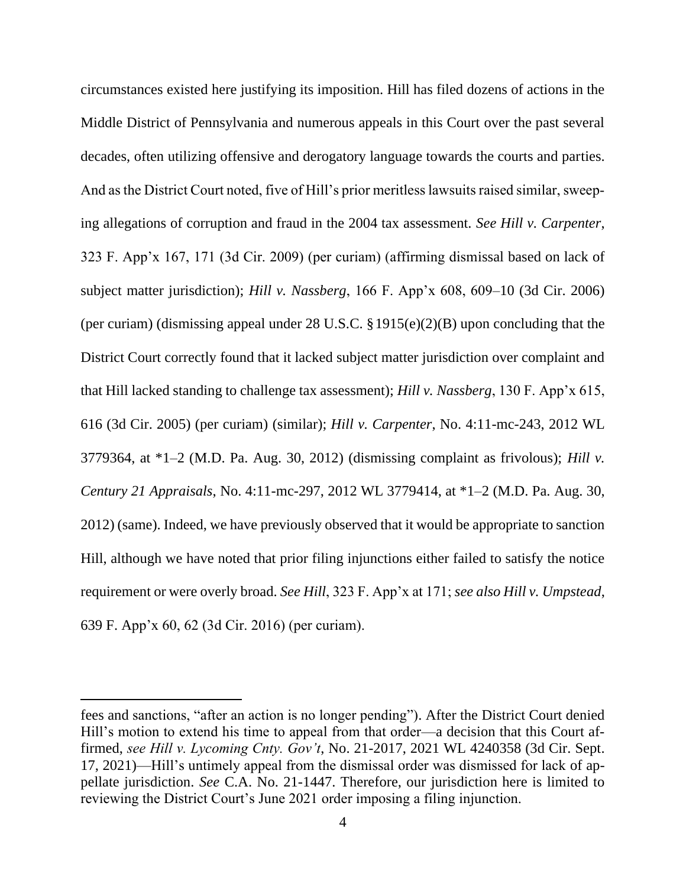circumstances existed here justifying its imposition. Hill has filed dozens of actions in the Middle District of Pennsylvania and numerous appeals in this Court over the past several decades, often utilizing offensive and derogatory language towards the courts and parties. And as the District Court noted, five of Hill's prior meritless lawsuits raised similar, sweeping allegations of corruption and fraud in the 2004 tax assessment. *See Hill v. Carpenter*, 323 F. App'x 167, 171 (3d Cir. 2009) (per curiam) (affirming dismissal based on lack of subject matter jurisdiction); *Hill v. Nassberg*, 166 F. App'x 608, 609–10 (3d Cir. 2006) (per curiam) (dismissing appeal under 28 U.S.C. §1915(e)(2)(B) upon concluding that the District Court correctly found that it lacked subject matter jurisdiction over complaint and that Hill lacked standing to challenge tax assessment); *Hill v. Nassberg*, 130 F. App'x 615, 616 (3d Cir. 2005) (per curiam) (similar); *Hill v. Carpenter*, No. 4:11-mc-243, 2012 WL 3779364, at \*1–2 (M.D. Pa. Aug. 30, 2012) (dismissing complaint as frivolous); *Hill v. Century 21 Appraisals*, No. 4:11-mc-297, 2012 WL 3779414, at \*1–2 (M.D. Pa. Aug. 30, 2012) (same). Indeed, we have previously observed that it would be appropriate to sanction Hill, although we have noted that prior filing injunctions either failed to satisfy the notice requirement or were overly broad. *See Hill*, 323 F. App'x at 171; *see also Hill v. Umpstead*, 639 F. App'x 60, 62 (3d Cir. 2016) (per curiam).

fees and sanctions, "after an action is no longer pending"). After the District Court denied Hill's motion to extend his time to appeal from that order—a decision that this Court affirmed, *see Hill v. Lycoming Cnty. Gov't*, No. 21-2017, 2021 WL 4240358 (3d Cir. Sept. 17, 2021)—Hill's untimely appeal from the dismissal order was dismissed for lack of appellate jurisdiction. *See* C.A. No. 21-1447. Therefore, our jurisdiction here is limited to reviewing the District Court's June 2021 order imposing a filing injunction.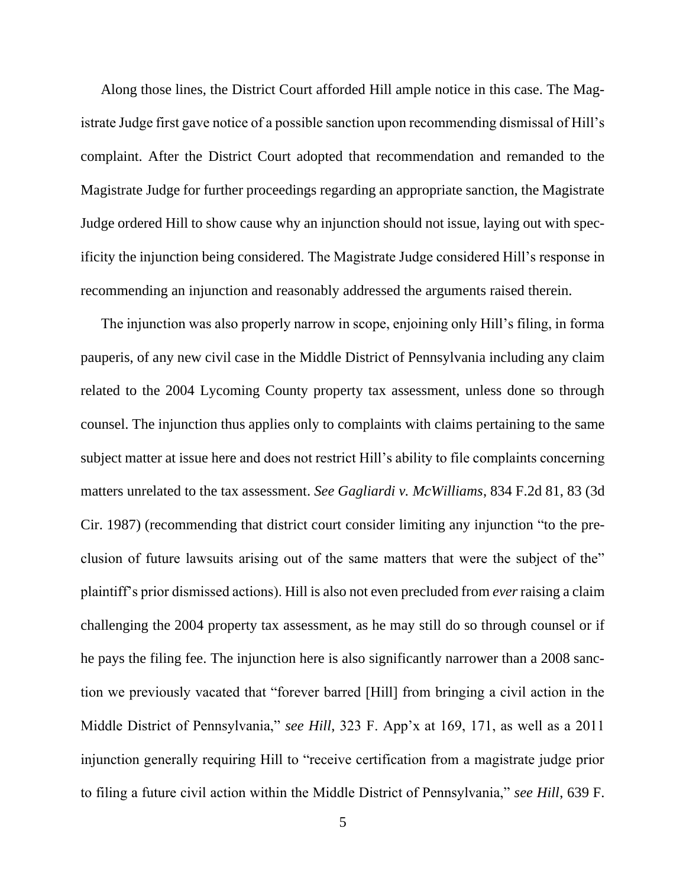Along those lines, the District Court afforded Hill ample notice in this case. The Magistrate Judge first gave notice of a possible sanction upon recommending dismissal of Hill's complaint. After the District Court adopted that recommendation and remanded to the Magistrate Judge for further proceedings regarding an appropriate sanction, the Magistrate Judge ordered Hill to show cause why an injunction should not issue, laying out with specificity the injunction being considered. The Magistrate Judge considered Hill's response in recommending an injunction and reasonably addressed the arguments raised therein.

The injunction was also properly narrow in scope, enjoining only Hill's filing, in forma pauperis, of any new civil case in the Middle District of Pennsylvania including any claim related to the 2004 Lycoming County property tax assessment, unless done so through counsel. The injunction thus applies only to complaints with claims pertaining to the same subject matter at issue here and does not restrict Hill's ability to file complaints concerning matters unrelated to the tax assessment. *See Gagliardi v. McWilliams*, 834 F.2d 81, 83 (3d Cir. 1987) (recommending that district court consider limiting any injunction "to the preclusion of future lawsuits arising out of the same matters that were the subject of the" plaintiff's prior dismissed actions). Hill is also not even precluded from *ever*raising a claim challenging the 2004 property tax assessment, as he may still do so through counsel or if he pays the filing fee. The injunction here is also significantly narrower than a 2008 sanction we previously vacated that "forever barred [Hill] from bringing a civil action in the Middle District of Pennsylvania," *see Hill*, 323 F. App'x at 169, 171, as well as a 2011 injunction generally requiring Hill to "receive certification from a magistrate judge prior to filing a future civil action within the Middle District of Pennsylvania," *see Hill*, 639 F.